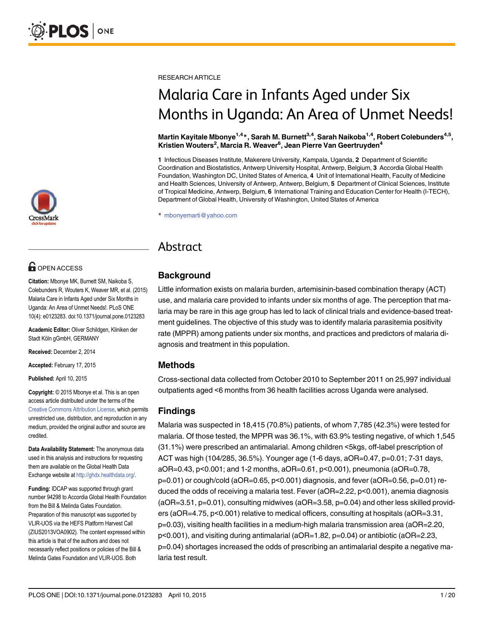

# **G** OPEN ACCESS

Citation: Mbonye MK, Burnett SM, Naikoba S, Colebunders R, Wouters K, Weaver MR, et al. (2015) Malaria Care in Infants Aged under Six Months in Uganda: An Area of Unmet Needs!. PLoS ONE 10(4): e0123283. doi:10.1371/journal.pone.0123283

Academic Editor: Oliver Schildgen, Kliniken der Stadt Köln gGmbH, GERMANY

Received: December 2, 2014

Accepted: February 17, 2015

Published: April 10, 2015

Copyright: © 2015 Mbonye et al. This is an open access article distributed under the terms of the [Creative Commons Attribution License,](http://creativecommons.org/licenses/by/4.0/) which permits unrestricted use, distribution, and reproduction in any medium, provided the original author and source are credited.

Data Availability Statement: The anonymous data used in this analysis and instructions for requesting them are available on the Global Health Data Exchange website at <http://ghdx.healthdata.org/>.

Funding: IDCAP was supported through grant number 94298 to Accordia Global Health Foundation from the Bill & Melinda Gates Foundation. Preparation of this manuscript was supported by VLIR-UOS via the HEFS Platform Harvest Call (ZIUS2013VOA0902). The content expressed within this article is that of the authors and does not necessarily reflect positions or policies of the Bill & Melinda Gates Foundation and VLIR-UOS. Both

RESEARCH ARTICLE

# Malaria Care in Infants Aged under Six Months in Uganda: An Area of Unmet Needs!

Martin Kayitale Mbonye<sup>1,4\*</sup>, Sarah M. Burnett<sup>3,4</sup>, Sarah Naikoba<sup>1,4</sup>, Robert Colebunders<sup>4,5</sup>, Kristien Wouters<sup>2</sup>, Marcia R. Weaver<sup>6</sup>, Jean Pierre Van Geertruyden<sup>4</sup>

1 Infectious Diseases Institute, Makerere University, Kampala, Uganda, 2 Department of Scientific Coordination and Biostatistics, Antwerp University Hospital, Antwerp, Belgium, 3 Accordia Global Health Foundation, Washington DC, United States of America, 4 Unit of International Health, Faculty of Medicine and Health Sciences, University of Antwerp, Antwerp, Belgium, 5 Department of Clinical Sciences, Institute of Tropical Medicine, Antwerp, Belgium, 6 International Training and Education Center for Health (I-TECH), Department of Global Health, University of Washington, United States of America

\* mbonyemarti@yahoo.com

# Abstract

#### Background

Little information exists on malaria burden, artemisinin-based combination therapy (ACT) use, and malaria care provided to infants under six months of age. The perception that malaria may be rare in this age group has led to lack of clinical trials and evidence-based treatment guidelines. The objective of this study was to identify malaria parasitemia positivity rate (MPPR) among patients under six months, and practices and predictors of malaria diagnosis and treatment in this population.

#### Methods

Cross-sectional data collected from October 2010 to September 2011 on 25,997 individual outpatients aged <6 months from 36 health facilities across Uganda were analysed.

## Findings

Malaria was suspected in 18,415 (70.8%) patients, of whom 7,785 (42.3%) were tested for malaria. Of those tested, the MPPR was 36.1%, with 63.9% testing negative, of which 1,545 (31.1%) were prescribed an antimalarial. Among children <5kgs, off-label prescription of ACT was high (104/285, 36.5%). Younger age (1-6 days, aOR=0.47, p=0.01; 7-31 days, aOR=0.43, p<0.001; and 1-2 months, aOR=0.61, p<0.001), pneumonia (aOR=0.78,  $p=0.01$ ) or cough/cold (aOR=0.65,  $p<0.001$ ) diagnosis, and fever (aOR=0.56,  $p=0.01$ ) reduced the odds of receiving a malaria test. Fever (aOR=2.22, p<0.001), anemia diagnosis (aOR=3.51, p=0.01), consulting midwives (aOR=3.58, p=0.04) and other less skilled providers (aOR=4.75, p<0.001) relative to medical officers, consulting at hospitals (aOR=3.31, p=0.03), visiting health facilities in a medium-high malaria transmission area (aOR=2.20, p<0.001), and visiting during antimalarial (aOR=1.82, p=0.04) or antibiotic (aOR=2.23, p=0.04) shortages increased the odds of prescribing an antimalarial despite a negative malaria test result.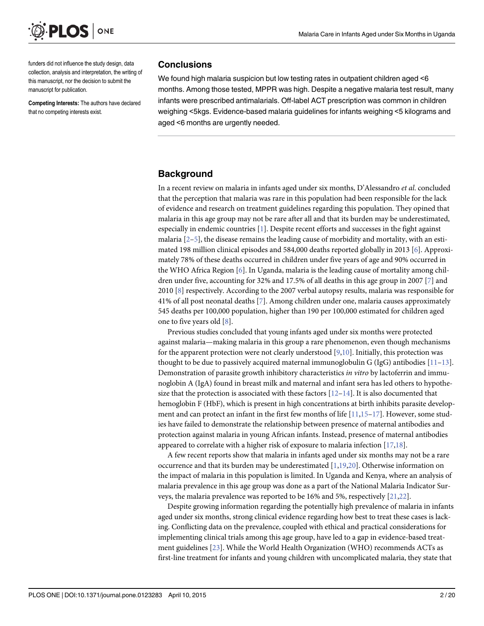<span id="page-1-0"></span>

funders did not influence the study design, data collection, analysis and interpretation, the writing of this manuscript, nor the decision to submit the manuscript for publication.

Competing Interests: The authors have declared that no competing interests exist.

#### **Conclusions**

We found high malaria suspicion but low testing rates in outpatient children aged <6 months. Among those tested, MPPR was high. Despite a negative malaria test result, many infants were prescribed antimalarials. Off-label ACT prescription was common in children weighing <5kgs. Evidence-based malaria guidelines for infants weighing <5 kilograms and aged <6 months are urgently needed.

#### **Background**

In a recent review on malaria in infants aged under six months, D'Alessandro et al. concluded that the perception that malaria was rare in this population had been responsible for the lack of evidence and research on treatment guidelines regarding this population. They opined that malaria in this age group may not be rare after all and that its burden may be underestimated, especially in endemic countries [\[1\]](#page-16-0). Despite recent efforts and successes in the fight against malaria  $[2-5]$  $[2-5]$  $[2-5]$  $[2-5]$  $[2-5]$ , the disease remains the leading cause of morbidity and mortality, with an estimated 198 million clinical episodes and 584,000 deaths reported globally in 2013 [\[6\]](#page-17-0). Approximately 78% of these deaths occurred in children under five years of age and 90% occurred in the WHO Africa Region [[6\]](#page-17-0). In Uganda, malaria is the leading cause of mortality among children under five, accounting for 32% and 17.5% of all deaths in this age group in 2007  $\lceil 2 \rceil$  and 2010 [[8\]](#page-17-0) respectively. According to the 2007 verbal autopsy results, malaria was responsible for 41% of all post neonatal deaths [[7\]](#page-17-0). Among children under one, malaria causes approximately 545 deaths per 100,000 population, higher than 190 per 100,000 estimated for children aged one to five years old  $[8]$  $[8]$ .

Previous studies concluded that young infants aged under six months were protected against malaria—making malaria in this group a rare phenomenon, even though mechanisms for the apparent protection were not clearly understood  $[9,10]$  $[9,10]$  $[9,10]$  $[9,10]$  $[9,10]$ . Initially, this protection was thought to be due to passively acquired maternal immunoglobulin G (IgG) antibodies [\[11](#page-17-0)–[13](#page-17-0)]. Demonstration of parasite growth inhibitory characteristics in vitro by lactoferrin and immunoglobin A (IgA) found in breast milk and maternal and infant sera has led others to hypothesize that the protection is associated with these factors  $[12–14]$  $[12–14]$  $[12–14]$  $[12–14]$  $[12–14]$ . It is also documented that hemoglobin F (HbF), which is present in high concentrations at birth inhibits parasite development and can protect an infant in the first few months of life  $[11,15-17]$  $[11,15-17]$  $[11,15-17]$  $[11,15-17]$ . However, some studies have failed to demonstrate the relationship between presence of maternal antibodies and protection against malaria in young African infants. Instead, presence of maternal antibodies appeared to correlate with a higher risk of exposure to malaria infection [[17,18](#page-17-0)].

A few recent reports show that malaria in infants aged under six months may not be a rare occurrence and that its burden may be underestimated  $[1,19,20]$  $[1,19,20]$  $[1,19,20]$  $[1,19,20]$  $[1,19,20]$  $[1,19,20]$ . Otherwise information on the impact of malaria in this population is limited. In Uganda and Kenya, where an analysis of malaria prevalence in this age group was done as a part of the National Malaria Indicator Surveys, the malaria prevalence was reported to be 16% and 5%, respectively [\[21,22\]](#page-17-0).

Despite growing information regarding the potentially high prevalence of malaria in infants aged under six months, strong clinical evidence regarding how best to treat these cases is lacking. Conflicting data on the prevalence, coupled with ethical and practical considerations for implementing clinical trials among this age group, have led to a gap in evidence-based treatment guidelines [[23](#page-17-0)]. While the World Health Organization (WHO) recommends ACTs as first-line treatment for infants and young children with uncomplicated malaria, they state that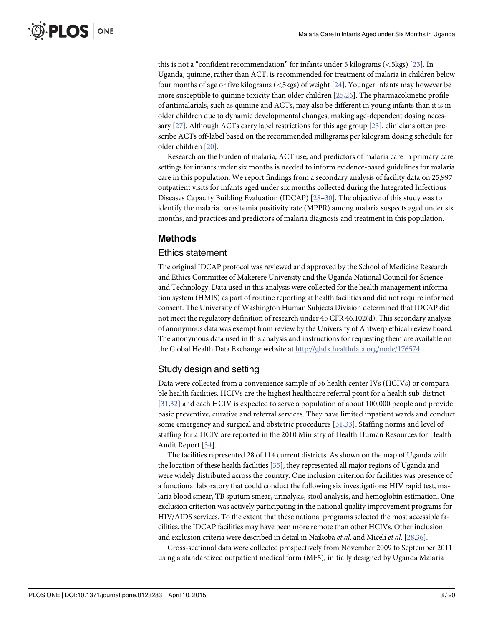<span id="page-2-0"></span>this is not a "confident recommendation" for infants under 5 kilograms  $(<$  5 kgs) [\[23\]](#page-17-0). In Uganda, quinine, rather than ACT, is recommended for treatment of malaria in children below four months of age or five kilograms ( $\lt$  5kgs) of weight [\[24\]](#page-17-0). Younger infants may however be more susceptible to quinine toxicity than older children [\[25](#page-17-0)[,26\]](#page-18-0). The pharmacokinetic profile of antimalarials, such as quinine and ACTs, may also be different in young infants than it is in older children due to dynamic developmental changes, making age-dependent dosing neces-sary [[27](#page-18-0)]. Although ACTs carry label restrictions for this age group [\[23\]](#page-17-0), clinicians often prescribe ACTs off-label based on the recommended milligrams per kilogram dosing schedule for older children [\[20](#page-17-0)].

Research on the burden of malaria, ACT use, and predictors of malaria care in primary care settings for infants under six months is needed to inform evidence-based guidelines for malaria care in this population. We report findings from a secondary analysis of facility data on 25,997 outpatient visits for infants aged under six months collected during the Integrated Infectious Diseases Capacity Building Evaluation (IDCAP)  $[28-30]$  $[28-30]$  $[28-30]$ . The objective of this study was to identify the malaria parasitemia positivity rate (MPPR) among malaria suspects aged under six months, and practices and predictors of malaria diagnosis and treatment in this population.

#### Methods

#### Ethics statement

The original IDCAP protocol was reviewed and approved by the School of Medicine Research and Ethics Committee of Makerere University and the Uganda National Council for Science and Technology. Data used in this analysis were collected for the health management information system (HMIS) as part of routine reporting at health facilities and did not require informed consent. The University of Washington Human Subjects Division determined that IDCAP did not meet the regulatory definition of research under 45 CFR 46.102(d). This secondary analysis of anonymous data was exempt from review by the University of Antwerp ethical review board. The anonymous data used in this analysis and instructions for requesting them are available on the Global Health Data Exchange website at <http://ghdx.healthdata.org/node/176574>.

#### Study design and setting

Data were collected from a convenience sample of 36 health center IVs (HCIVs) or comparable health facilities. HCIVs are the highest healthcare referral point for a health sub-district [\[31,32](#page-18-0)] and each HCIV is expected to serve a population of about 100,000 people and provide basic preventive, curative and referral services. They have limited inpatient wards and conduct some emergency and surgical and obstetric procedures  $[31,33]$  $[31,33]$ . Staffing norms and level of staffing for a HCIV are reported in the 2010 Ministry of Health Human Resources for Health Audit Report [[34](#page-18-0)].

The facilities represented 28 of 114 current districts. As shown on the map of Uganda with the location of these health facilities [\[35\]](#page-18-0), they represented all major regions of Uganda and were widely distributed across the country. One inclusion criterion for facilities was presence of a functional laboratory that could conduct the following six investigations: HIV rapid test, malaria blood smear, TB sputum smear, urinalysis, stool analysis, and hemoglobin estimation. One exclusion criterion was actively participating in the national quality improvement programs for HIV/AIDS services. To the extent that these national programs selected the most accessible facilities, the IDCAP facilities may have been more remote than other HCIVs. Other inclusion and exclusion criteria were described in detail in Naikoba et al. and Miceli et al. [[28,36\]](#page-18-0).

Cross-sectional data were collected prospectively from November 2009 to September 2011 using a standardized outpatient medical form (MF5), initially designed by Uganda Malaria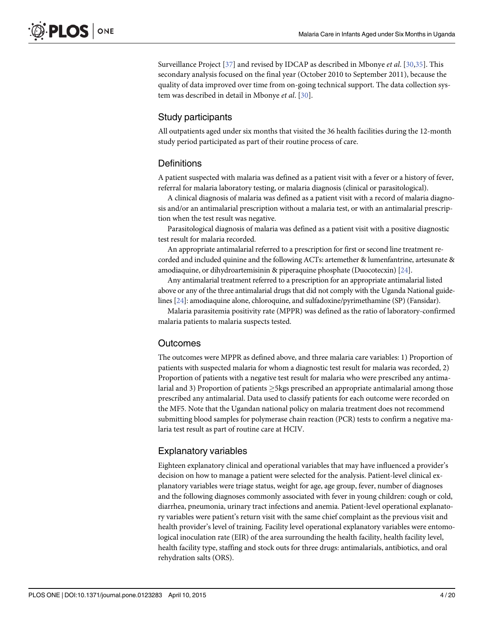<span id="page-3-0"></span>Surveillance Project [\[37\]](#page-18-0) and revised by IDCAP as described in Mbonye et al. [[30](#page-18-0),[35](#page-18-0)]. This secondary analysis focused on the final year (October 2010 to September 2011), because the quality of data improved over time from on-going technical support. The data collection sys-tem was described in detail in Mbonye et al. [[30](#page-18-0)].

# Study participants

All outpatients aged under six months that visited the 36 health facilities during the 12-month study period participated as part of their routine process of care.

# **Definitions**

A patient suspected with malaria was defined as a patient visit with a fever or a history of fever, referral for malaria laboratory testing, or malaria diagnosis (clinical or parasitological).

A clinical diagnosis of malaria was defined as a patient visit with a record of malaria diagnosis and/or an antimalarial prescription without a malaria test, or with an antimalarial prescription when the test result was negative.

Parasitological diagnosis of malaria was defined as a patient visit with a positive diagnostic test result for malaria recorded.

An appropriate antimalarial referred to a prescription for first or second line treatment recorded and included quinine and the following ACTs: artemether & lumenfantrine, artesunate & amodiaquine, or dihydroartemisinin & piperaquine phosphate (Duocotecxin) [\[24](#page-17-0)].

Any antimalarial treatment referred to a prescription for an appropriate antimalarial listed above or any of the three antimalarial drugs that did not comply with the Uganda National guidelines [\[24\]](#page-17-0): amodiaquine alone, chloroquine, and sulfadoxine/pyrimethamine (SP) (Fansidar).

Malaria parasitemia positivity rate (MPPR) was defined as the ratio of laboratory-confirmed malaria patients to malaria suspects tested.

## **Outcomes**

The outcomes were MPPR as defined above, and three malaria care variables: 1) Proportion of patients with suspected malaria for whom a diagnostic test result for malaria was recorded, 2) Proportion of patients with a negative test result for malaria who were prescribed any antimalarial and 3) Proportion of patients  $\geq$ 5kgs prescribed an appropriate antimalarial among those prescribed any antimalarial. Data used to classify patients for each outcome were recorded on the MF5. Note that the Ugandan national policy on malaria treatment does not recommend submitting blood samples for polymerase chain reaction (PCR) tests to confirm a negative malaria test result as part of routine care at HCIV.

## Explanatory variables

Eighteen explanatory clinical and operational variables that may have influenced a provider's decision on how to manage a patient were selected for the analysis. Patient-level clinical explanatory variables were triage status, weight for age, age group, fever, number of diagnoses and the following diagnoses commonly associated with fever in young children: cough or cold, diarrhea, pneumonia, urinary tract infections and anemia. Patient-level operational explanatory variables were patient's return visit with the same chief complaint as the previous visit and health provider's level of training. Facility level operational explanatory variables were entomological inoculation rate (EIR) of the area surrounding the health facility, health facility level, health facility type, staffing and stock outs for three drugs: antimalarials, antibiotics, and oral rehydration salts (ORS).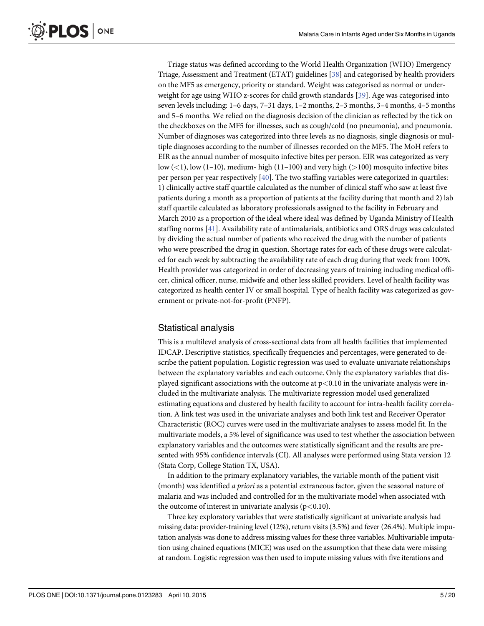<span id="page-4-0"></span>Triage status was defined according to the World Health Organization (WHO) Emergency Triage, Assessment and Treatment (ETAT) guidelines [[38](#page-18-0)] and categorised by health providers on the MF5 as emergency, priority or standard. Weight was categorised as normal or underweight for age using WHO z-scores for child growth standards [\[39\]](#page-18-0). Age was categorised into seven levels including: 1–6 days, 7–31 days, 1–2 months, 2–3 months, 3–4 months, 4–5 months and 5–6 months. We relied on the diagnosis decision of the clinician as reflected by the tick on the checkboxes on the MF5 for illnesses, such as cough/cold (no pneumonia), and pneumonia. Number of diagnoses was categorized into three levels as no diagnosis, single diagnosis or multiple diagnoses according to the number of illnesses recorded on the MF5. The MoH refers to EIR as the annual number of mosquito infective bites per person. EIR was categorized as very low  $(<1)$ , low  $(1-10)$ , medium- high  $(11-100)$  and very high  $(>100)$  mosquito infective bites per person per year respectively  $[40]$  $[40]$  $[40]$ . The two staffing variables were categorized in quartiles: 1) clinically active staff quartile calculated as the number of clinical staff who saw at least five patients during a month as a proportion of patients at the facility during that month and 2) lab staff quartile calculated as laboratory professionals assigned to the facility in February and March 2010 as a proportion of the ideal where ideal was defined by Uganda Ministry of Health staffing norms [\[41\]](#page-18-0). Availability rate of antimalarials, antibiotics and ORS drugs was calculated by dividing the actual number of patients who received the drug with the number of patients who were prescribed the drug in question. Shortage rates for each of these drugs were calculated for each week by subtracting the availability rate of each drug during that week from 100%. Health provider was categorized in order of decreasing years of training including medical officer, clinical officer, nurse, midwife and other less skilled providers. Level of health facility was categorized as health center IV or small hospital. Type of health facility was categorized as government or private-not-for-profit (PNFP).

## Statistical analysis

This is a multilevel analysis of cross-sectional data from all health facilities that implemented IDCAP. Descriptive statistics, specifically frequencies and percentages, were generated to describe the patient population. Logistic regression was used to evaluate univariate relationships between the explanatory variables and each outcome. Only the explanatory variables that displayed significant associations with the outcome at  $p<0.10$  in the univariate analysis were included in the multivariate analysis. The multivariate regression model used generalized estimating equations and clustered by health facility to account for intra-health facility correlation. A link test was used in the univariate analyses and both link test and Receiver Operator Characteristic (ROC) curves were used in the multivariate analyses to assess model fit. In the multivariate models, a 5% level of significance was used to test whether the association between explanatory variables and the outcomes were statistically significant and the results are presented with 95% confidence intervals (CI). All analyses were performed using Stata version 12 (Stata Corp, College Station TX, USA).

In addition to the primary explanatory variables, the variable month of the patient visit (month) was identified *a priori* as a potential extraneous factor, given the seasonal nature of malaria and was included and controlled for in the multivariate model when associated with the outcome of interest in univariate analysis  $(p<0.10)$ .

Three key exploratory variables that were statistically significant at univariate analysis had missing data: provider-training level (12%), return visits (3.5%) and fever (26.4%). Multiple imputation analysis was done to address missing values for these three variables. Multivariable imputation using chained equations (MICE) was used on the assumption that these data were missing at random. Logistic regression was then used to impute missing values with five iterations and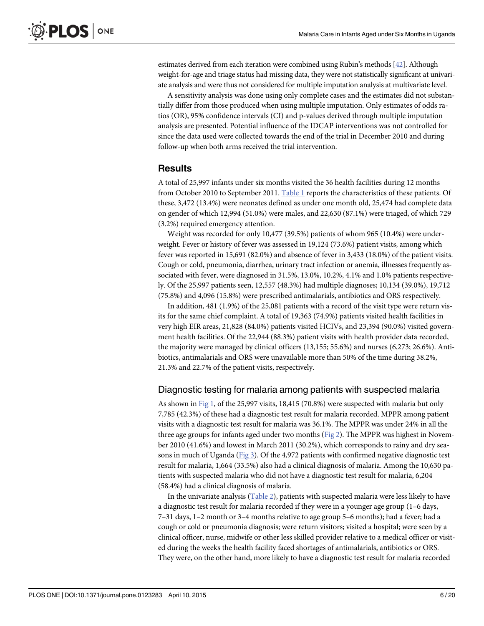<span id="page-5-0"></span>estimates derived from each iteration were combined using Rubin's methods [\[42\]](#page-18-0). Although weight-for-age and triage status had missing data, they were not statistically significant at univariate analysis and were thus not considered for multiple imputation analysis at multivariate level.

A sensitivity analysis was done using only complete cases and the estimates did not substantially differ from those produced when using multiple imputation. Only estimates of odds ratios (OR), 95% confidence intervals (CI) and p-values derived through multiple imputation analysis are presented. Potential influence of the IDCAP interventions was not controlled for since the data used were collected towards the end of the trial in December 2010 and during follow-up when both arms received the trial intervention.

#### Results

A total of 25,997 infants under six months visited the 36 health facilities during 12 months from October 2010 to September 2011. [Table 1](#page-6-0) reports the characteristics of these patients. Of these, 3,472 (13.4%) were neonates defined as under one month old, 25,474 had complete data on gender of which 12,994 (51.0%) were males, and 22,630 (87.1%) were triaged, of which 729 (3.2%) required emergency attention.

Weight was recorded for only 10,477 (39.5%) patients of whom 965 (10.4%) were underweight. Fever or history of fever was assessed in 19,124 (73.6%) patient visits, among which fever was reported in 15,691 (82.0%) and absence of fever in 3,433 (18.0%) of the patient visits. Cough or cold, pneumonia, diarrhea, urinary tract infection or anemia, illnesses frequently associated with fever, were diagnosed in 31.5%, 13.0%, 10.2%, 4.1% and 1.0% patients respectively. Of the 25,997 patients seen, 12,557 (48.3%) had multiple diagnoses; 10,134 (39.0%), 19,712 (75.8%) and 4,096 (15.8%) were prescribed antimalarials, antibiotics and ORS respectively.

In addition, 481 (1.9%) of the 25,081 patients with a record of the visit type were return visits for the same chief complaint. A total of 19,363 (74.9%) patients visited health facilities in very high EIR areas, 21,828 (84.0%) patients visited HCIVs, and 23,394 (90.0%) visited government health facilities. Of the 22,944 (88.3%) patient visits with health provider data recorded, the majority were managed by clinical officers (13,155; 55.6%) and nurses (6,273; 26.6%). Antibiotics, antimalarials and ORS were unavailable more than 50% of the time during 38.2%, 21.3% and 22.7% of the patient visits, respectively.

#### Diagnostic testing for malaria among patients with suspected malaria

As shown in [Fig 1,](#page-7-0) of the 25,997 visits, 18,415 (70.8%) were suspected with malaria but only 7,785 (42.3%) of these had a diagnostic test result for malaria recorded. MPPR among patient visits with a diagnostic test result for malaria was 36.1%. The MPPR was under 24% in all the three age groups for infants aged under two months ( $Fig 2$ ). The MPPR was highest in November 2010 (41.6%) and lowest in March 2011 (30.2%), which corresponds to rainy and dry seasons in much of Uganda [\(Fig 3\)](#page-8-0). Of the 4,972 patients with confirmed negative diagnostic test result for malaria, 1,664 (33.5%) also had a clinical diagnosis of malaria. Among the 10,630 patients with suspected malaria who did not have a diagnostic test result for malaria, 6,204 (58.4%) had a clinical diagnosis of malaria.

In the univariate analysis ( $Table 2$ ), patients with suspected malaria were less likely to have a diagnostic test result for malaria recorded if they were in a younger age group (1–6 days, 7–31 days, 1–2 month or 3–4 months relative to age group 5–6 months); had a fever; had a cough or cold or pneumonia diagnosis; were return visitors; visited a hospital; were seen by a clinical officer, nurse, midwife or other less skilled provider relative to a medical officer or visited during the weeks the health facility faced shortages of antimalarials, antibiotics or ORS. They were, on the other hand, more likely to have a diagnostic test result for malaria recorded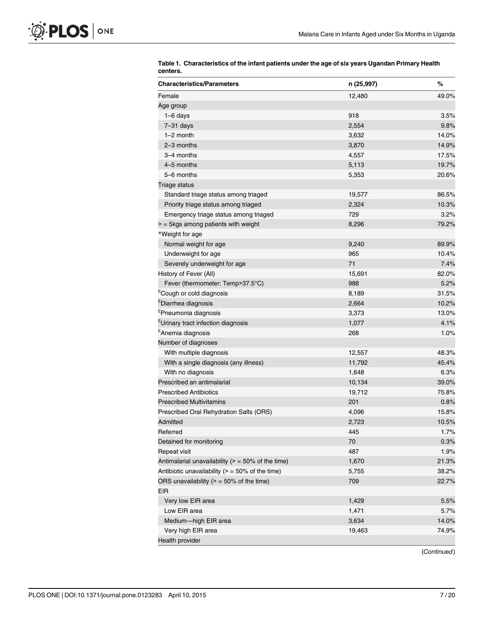| <b>Characteristics/Parameters</b>                    | n (25,997) | %       |
|------------------------------------------------------|------------|---------|
| Female                                               | 12,480     | 49.0%   |
| Age group                                            |            |         |
| $1-6$ days                                           | 918        | 3.5%    |
| $7 - 31$ days                                        | 2,554      | 9.8%    |
| $1-2$ month                                          | 3,632      | 14.0%   |
| $2-3$ months                                         | 3,870      | 14.9%   |
| 3-4 months                                           | 4,557      | 17.5%   |
| 4–5 months                                           | 5,113      | 19.7%   |
| 5-6 months                                           | 5,353      | 20.6%   |
| Triage status                                        |            |         |
| Standard triage status among triaged                 | 19,577     | 86.5%   |
| Priority triage status among triaged                 | 2,324      | 10.3%   |
| Emergency triage status among triaged                | 729        | 3.2%    |
| $=$ 5kgs among patients with weight                  | 8,296      | 79.2%   |
| *Weight for age                                      |            |         |
| Normal weight for age                                | 9,240      | 89.9%   |
| Underweight for age                                  | 965        | 10.4%   |
| Severely underweight for age                         | 71         | 7.4%    |
| History of Fever (All)                               | 15,691     | 82.0%   |
| Fever (thermometer: Temp>37.5°C)                     | 988        | 5.2%    |
| <sup>£</sup> Cough or cold diagnosis                 | 8,189      | 31.5%   |
| <sup>£</sup> Diarrhea diagnosis                      | 2,664      | 10.2%   |
| <sup>£</sup> Pneumonia diagnosis                     | 3,373      | 13.0%   |
| <sup>£</sup> Urinary tract infection diagnosis       | 1,077      | 4.1%    |
| <sup>£</sup> Anemia diagnosis                        | 268        | 1.0%    |
| Number of diagnoses                                  |            |         |
| With multiple diagnosis                              | 12,557     | 48.3%   |
| With a single diagnosis (any illness)                | 11,792     | 45.4%   |
| With no diagnosis                                    | 1,648      | 6.3%    |
| Prescribed an antimalarial                           | 10,134     | 39.0%   |
| <b>Prescribed Antibiotics</b>                        | 19,712     | 75.8%   |
| <b>Prescribed Multivitamins</b>                      | 201        | 0.8%    |
| Prescribed Oral Rehydration Salts (ORS)              | 4,096      | 15.8%   |
| Admitted                                             | 2,723      | 10.5%   |
| Referred                                             | 445        | $1.7\%$ |
| Detained for monitoring                              | 70         | 0.3%    |
| Repeat visit                                         | 487        | 1.9%    |
| Antimalarial unavailability ( $>$ = 50% of the time) | 1,670      | 21.3%   |
| Antibiotic unavailability ( $>$ = 50% of the time)   | 5,755      | 38.2%   |
| ORS unavailability ( $>$ = 50% of the time)          | 709        | 22.7%   |
| <b>EIR</b>                                           |            |         |
| Very low EIR area                                    | 1,429      | 5.5%    |
| Low EIR area                                         | 1,471      | 5.7%    |
| Medium-high EIR area                                 | 3,634      | 14.0%   |
| Very high EIR area                                   | 19,463     | 74.9%   |
| Health provider                                      |            |         |

<span id="page-6-0"></span>[Table 1.](#page-5-0) Characteristics of the infant patients under the age of six years Ugandan Primary Health centers.

(Continued)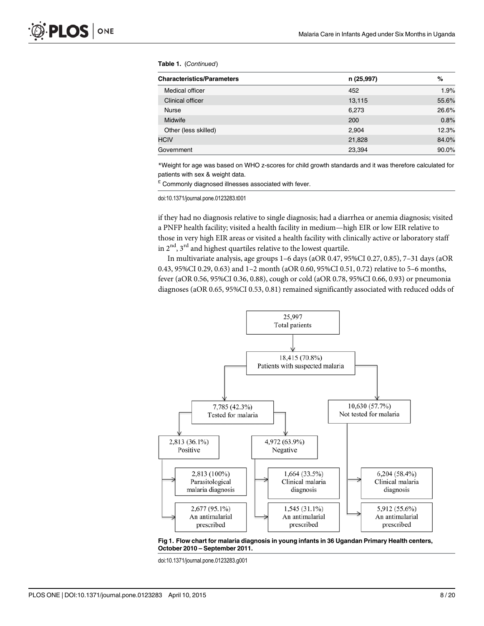#### <span id="page-7-0"></span>Table 1. (Continued)

| <b>Characteristics/Parameters</b> | n (25,997) | $\%$  |
|-----------------------------------|------------|-------|
| Medical officer                   | 452        | 1.9%  |
| Clinical officer                  | 13,115     | 55.6% |
| Nurse                             | 6,273      | 26.6% |
| Midwife                           | 200        | 0.8%  |
| Other (less skilled)              | 2,904      | 12.3% |
| <b>HCIV</b>                       | 21,828     | 84.0% |
| Government                        | 23,394     | 90.0% |

\*Weight for age was based on WHO z-scores for child growth standards and it was therefore calculated for patients with sex & weight data.

 $E$  Commonly diagnosed illnesses associated with fever.

doi:10.1371/journal.pone.0123283.t001

if they had no diagnosis relative to single diagnosis; had a diarrhea or anemia diagnosis; visited a PNFP health facility; visited a health facility in medium—high EIR or low EIR relative to those in very high EIR areas or visited a health facility with clinically active or laboratory staff in  $2<sup>nd</sup>$ ,  $3<sup>rd</sup>$  and highest quartiles relative to the lowest quartile.

In multivariate analysis, age groups 1–6 days (aOR 0.47, 95%CI 0.27, 0.85), 7–31 days (aOR 0.43, 95%CI 0.29, 0.63) and 1–2 month (aOR 0.60, 95%CI 0.51, 0.72) relative to 5–6 months, fever (aOR 0.56, 95%CI 0.36, 0.88), cough or cold (aOR 0.78, 95%CI 0.66, 0.93) or pneumonia diagnoses (aOR 0.65, 95%CI 0.53, 0.81) remained significantly associated with reduced odds of





doi:10.1371/journal.pone.0123283.g001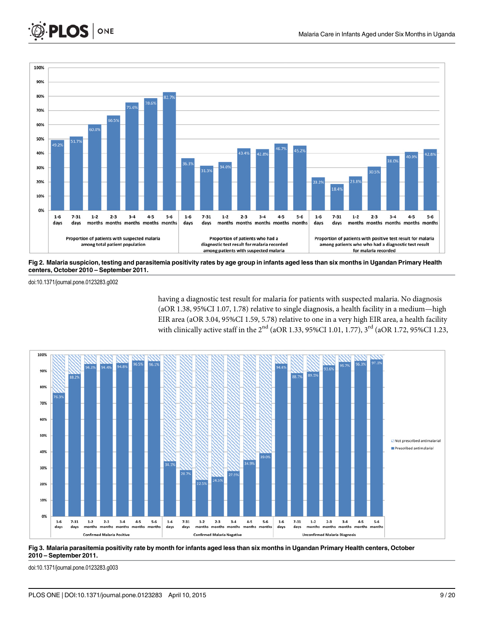<span id="page-8-0"></span>



[Fig 2. M](#page-5-0)alaria suspicion, testing and parasitemia positivity rates by age group in infants aged less than six months in Ugandan Primary Health centers, October 2010 – September 2011.

doi:10.1371/journal.pone.0123283.g002

having a diagnostic test result for malaria for patients with suspected malaria. No diagnosis (aOR 1.38, 95%CI 1.07, 1.78) relative to single diagnosis, a health facility in a medium—high EIR area (aOR 3.04, 95%CI 1.59, 5.78) relative to one in a very high EIR area, a health facility with clinically active staff in the 2<sup>nd</sup> (aOR 1.33, 95%CI 1.01, 1.77), 3<sup>rd</sup> (aOR 1.72, 95%CI 1.23,



[Fig 3. M](#page-5-0)alaria parasitemia positivity rate by month for infants aged less than six months in Ugandan Primary Health centers, October 2010 – September 2011.

doi:10.1371/journal.pone.0123283.g003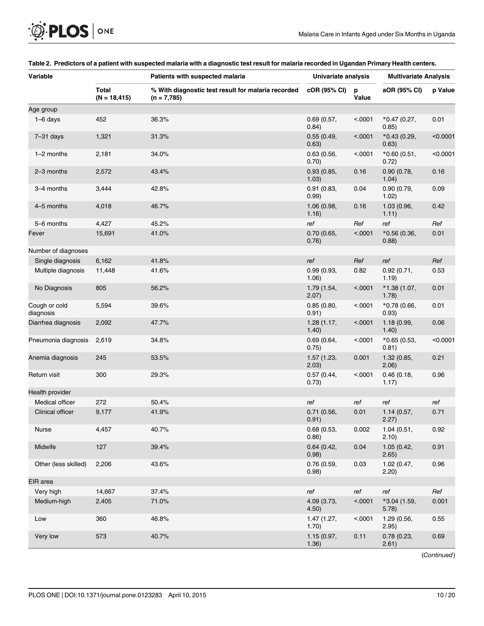<span id="page-9-0"></span>

| O PLOS ONE |  |
|------------|--|
|------------|--|

| Variable                   | Patients with suspected malaria |                                                                     | Univariate analysis   |            | <b>Multivariate Analysis</b> |          |
|----------------------------|---------------------------------|---------------------------------------------------------------------|-----------------------|------------|------------------------------|----------|
|                            | Total<br>$(N = 18, 415)$        | % With diagnostic test result for malaria recorded<br>$(n = 7,785)$ | cOR (95% CI)          | p<br>Value | aOR (95% CI)                 | p Value  |
| Age group                  |                                 |                                                                     |                       |            |                              |          |
| $1-6$ days                 | 452                             | 36.3%                                                               | 0.69(0.57,<br>0.84)   | < .0001    | $*0.47(0.27,$<br>0.85)       | 0.01     |
| $7 - 31$ days              | 1,321                           | 31.3%                                                               | 0.55(0.49,<br>0.63)   | < .0001    | *0.43 (0.29,<br>0.63)        | < 0.0001 |
| 1-2 months                 | 2,181                           | 34.0%                                                               | 0.63(0.56,<br>0.70)   | < .0001    | *0.60 (0.51,<br>0.72)        | < 0.0001 |
| 2-3 months                 | 2,572                           | 43.4%                                                               | 0.93(0.85,<br>1.03)   | 0.16       | 0.90(0.78,<br>1.04)          | 0.16     |
| 3-4 months                 | 3,444                           | 42.8%                                                               | 0.91(0.83,<br>0.99)   | 0.04       | 0.90(0.79,<br>1.02)          | 0.09     |
| 4-5 months                 | 4,018                           | 46.7%                                                               | 1.06 (0.98,<br>1.16)  | 0.16       | 1.03 (0.96,<br>1.11)         | 0.42     |
| 5-6 months                 | 4,427                           | 45.2%                                                               | ref                   | Ref        | ref                          | Ref      |
| Fever                      | 15,691                          | 41.0%                                                               | 0.70(0.65,<br>0.76)   | < .0001    | *0.56 (0.36,<br>0.88)        | 0.01     |
| Number of diagnoses        |                                 |                                                                     |                       |            |                              |          |
| Single diagnosis           | 6,162                           | 41.8%                                                               | ref                   | Ref        | ref                          | Ref      |
| Multiple diagnosis         | 11,448                          | 41.6%                                                               | 0.99(0.93,<br>1.06)   | 0.82       | 0.92(0.71,<br>1.19)          | 0.53     |
| No Diagnosis               | 805                             | 56.2%                                                               | 1.79 (1.54,<br>2.07)  | < .0001    | *1.38 (1.07,<br>1.78)        | 0.01     |
| Cough or cold<br>diagnosis | 5,594                           | 39.6%                                                               | 0.85(0.80,<br>0.91)   | < .0001    | *0.78 (0.66,<br>0.93)        | 0.01     |
| Diarrhea diagnosis         | 2,092                           | 47.7%                                                               | 1.28(1.17,<br>1.40)   | < .0001    | 1.18(0.99,<br>1.40)          | 0.06     |
| Pneumonia diagnosis        | 2,619                           | 34.8%                                                               | 0.69(0.64,<br>0.75)   | < 0001     | *0.65 (0.53,<br>0.81)        | < 0.0001 |
| Anemia diagnosis           | 245                             | 53.5%                                                               | 1.57 (1.23,<br>(2.03) | 0.001      | 1.32 (0.85,<br>(2.06)        | 0.21     |
| Return visit               | 300                             | 29.3%                                                               | 0.57(0.44,<br>0.73)   | < .0001    | 0.46(0.18,<br>1.17)          | 0.96     |
| Health provider            |                                 |                                                                     |                       |            |                              |          |
| Medical officer            | 272                             | 50.4%                                                               | ref                   | ref        | ref                          | ref      |
| Clinical officer           | 9,177                           | 41.9%                                                               | 0.71(0.56,<br>0.91)   | 0.01       | 1.14(0.57,<br>2.27)          | 0.71     |
| Nurse                      | 4,457                           | 40.7%                                                               | 0.68(0.53,<br>0.86)   | 0.002      | 1.04(0.51,<br>2.10)          | 0.92     |
| Midwife                    | 127                             | 39.4%                                                               | 0.64(0.42,<br>0.98)   | 0.04       | 1.05(0.42,<br>2.65)          | 0.91     |
| Other (less skilled)       | 2,206                           | 43.6%                                                               | 0.76(0.59,<br>0.98)   | 0.03       | 1.02(0.47,<br>2.20)          | 0.96     |
| EIR area                   |                                 |                                                                     |                       |            |                              |          |
| Very high                  | 14,667                          | 37.4%                                                               | ref                   | ref        | ref                          | Ref      |
| Medium-high                | 2,405                           | 71.0%                                                               | 4.09 (3.73,<br>4.50)  | < .0001    | *3.04 (1.59,<br>5.78)        | 0.001    |
| Low                        | 360                             | 46.8%                                                               | 1.47 (1.27,<br>1.70)  | < .0001    | 1.29 (0.56,<br>2.95)         | 0.55     |
| Very low                   | 573                             | 40.7%                                                               | 1.15(0.97,<br>1.36)   | 0.11       | 0.78(0.23,<br>2.61)          | 0.69     |

#### [Table 2.](#page-5-0) Predictors of a patient with suspected malaria with a diagnostic test result for malaria recorded in Ugandan Primary Health centers.

(Continued)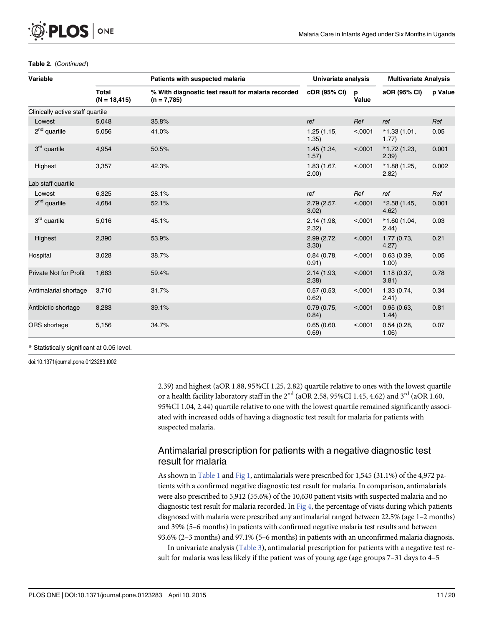#### <span id="page-10-0"></span>Table 2. (Continued)

| Variable                         | Patients with suspected malaria |                                                                     | Univariate analysis  |            | <b>Multivariate Analysis</b> |         |
|----------------------------------|---------------------------------|---------------------------------------------------------------------|----------------------|------------|------------------------------|---------|
|                                  | <b>Total</b><br>$(N = 18, 415)$ | % With diagnostic test result for malaria recorded<br>$(n = 7,785)$ | cOR (95% CI)         | p<br>Value | aOR (95% CI)                 | p Value |
| Clinically active staff quartile |                                 |                                                                     |                      |            |                              |         |
| Lowest                           | 5,048                           | 35.8%                                                               | ref                  | Ref        | ref                          | Ref     |
| $2nd$ quartile                   | 5,056                           | 41.0%                                                               | 1.25(1.15,<br>1.35)  | < .0001    | $*1.33(1.01,$<br>1.77)       | 0.05    |
| 3 <sup>rd</sup> quartile         | 4,954                           | 50.5%                                                               | 1.45 (1.34,<br>1.57) | < .0001    | *1.72 (1.23,<br>2.39)        | 0.001   |
| Highest                          | 3,357                           | 42.3%                                                               | 1.83(1.67,<br>2.00)  | < .0001    | *1.88 (1.25,<br>2.82)        | 0.002   |
| Lab staff quartile               |                                 |                                                                     |                      |            |                              |         |
| Lowest                           | 6,325                           | 28.1%                                                               | ref                  | Ref        | ref                          | Ref     |
| $2nd$ quartile                   | 4,684                           | 52.1%                                                               | 2.79(2.57,<br>3.02)  | < .0001    | *2.58 (1.45,<br>4.62)        | 0.001   |
| 3 <sup>rd</sup> quartile         | 5,016                           | 45.1%                                                               | 2.14 (1.98,<br>2.32) | < .0001    | $*1.60(1.04,$<br>2.44)       | 0.03    |
| Highest                          | 2,390                           | 53.9%                                                               | 2.99(2.72,<br>3.30)  | < .0001    | 1.77(0.73,<br>4.27)          | 0.21    |
| Hospital                         | 3,028                           | 38.7%                                                               | 0.84(0.78,<br>0.91)  | < .0001    | 0.63(0.39,<br>1.00           | 0.05    |
| <b>Private Not for Profit</b>    | 1,663                           | 59.4%                                                               | 2.14(1.93,<br>2.38)  | < .0001    | 1.18(0.37,<br>3.81)          | 0.78    |
| Antimalarial shortage            | 3,710                           | 31.7%                                                               | 0.57(0.53,<br>0.62)  | < .0001    | 1.33(0.74,<br>2.41)          | 0.34    |
| Antibiotic shortage              | 8,283                           | 39.1%                                                               | 0.79(0.75,<br>0.84)  | < .0001    | 0.95(0.63,<br>1.44)          | 0.81    |
| ORS shortage                     | 5,156                           | 34.7%                                                               | 0.65(0.60,<br>0.69)  | < .0001    | 0.54(0.28,<br>1.06)          | 0.07    |

#### \* Statistically significant at 0.05 level.

doi:10.1371/journal.pone.0123283.t002

2.39) and highest (aOR 1.88, 95%CI 1.25, 2.82) quartile relative to ones with the lowest quartile or a health facility laboratory staff in the  $2<sup>nd</sup>$  (aOR 2.58, 95%CI 1.45, 4.62) and  $3<sup>rd</sup>$  (aOR 1.60, 95%CI 1.04, 2.44) quartile relative to one with the lowest quartile remained significantly associated with increased odds of having a diagnostic test result for malaria for patients with suspected malaria.

## Antimalarial prescription for patients with a negative diagnostic test result for malaria

As shown in [Table 1](#page-6-0) and [Fig 1,](#page-7-0) antimalarials were prescribed for 1,545 (31.1%) of the 4,972 patients with a confirmed negative diagnostic test result for malaria. In comparison, antimalarials were also prescribed to 5,912 (55.6%) of the 10,630 patient visits with suspected malaria and no diagnostic test result for malaria recorded. In [Fig 4,](#page-11-0) the percentage of visits during which patients diagnosed with malaria were prescribed any antimalarial ranged between 22.5% (age 1–2 months) and 39% (5–6 months) in patients with confirmed negative malaria test results and between 93.6% (2–3 months) and 97.1% (5–6 months) in patients with an unconfirmed malaria diagnosis.

In univariate analysis ([Table 3](#page-12-0)), antimalarial prescription for patients with a negative test result for malaria was less likely if the patient was of young age (age groups 7–31 days to 4–5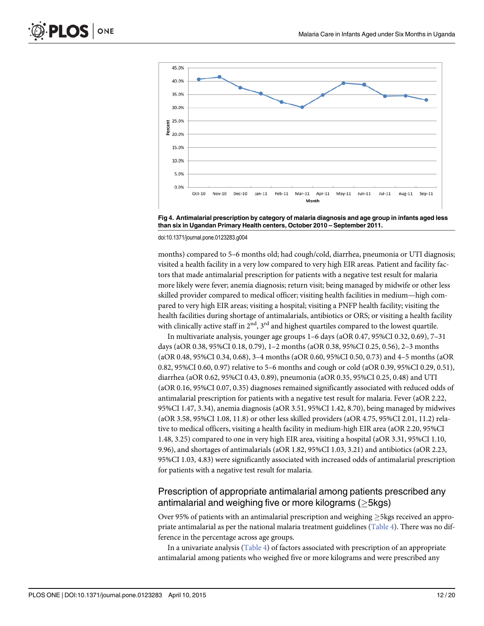<span id="page-11-0"></span>

[Fig 4. A](#page-10-0)ntimalarial prescription by category of malaria diagnosis and age group in infants aged less than six in Ugandan Primary Health centers, October 2010 – September 2011.

doi:10.1371/journal.pone.0123283.g004

months) compared to 5–6 months old; had cough/cold, diarrhea, pneumonia or UTI diagnosis; visited a health facility in a very low compared to very high EIR areas. Patient and facility factors that made antimalarial prescription for patients with a negative test result for malaria more likely were fever; anemia diagnosis; return visit; being managed by midwife or other less skilled provider compared to medical officer; visiting health facilities in medium—high compared to very high EIR areas; visiting a hospital; visiting a PNFP health facility; visiting the health facilities during shortage of antimalarials, antibiotics or ORS; or visiting a health facility with clinically active staff in  $2<sup>nd</sup>$ ,  $3<sup>rd</sup>$  and highest quartiles compared to the lowest quartile.

In multivariate analysis, younger age groups 1–6 days (aOR 0.47, 95%CI 0.32, 0.69), 7–31 days (aOR 0.38, 95%CI 0.18, 0.79), 1–2 months (aOR 0.38, 95%CI 0.25, 0.56), 2–3 months (aOR 0.48, 95%CI 0.34, 0.68), 3–4 months (aOR 0.60, 95%CI 0.50, 0.73) and 4–5 months (aOR 0.82, 95%CI 0.60, 0.97) relative to 5–6 months and cough or cold (aOR 0.39, 95%CI 0.29, 0.51), diarrhea (aOR 0.62, 95%CI 0.43, 0.89), pneumonia (aOR 0.35, 95%CI 0.25, 0.48) and UTI (aOR 0.16, 95%CI 0.07, 0.35) diagnoses remained significantly associated with reduced odds of antimalarial prescription for patients with a negative test result for malaria. Fever (aOR 2.22, 95%CI 1.47, 3.34), anemia diagnosis (aOR 3.51, 95%CI 1.42, 8.70), being managed by midwives (aOR 3.58, 95%CI 1.08, 11.8) or other less skilled providers (aOR 4.75, 95%CI 2.01, 11.2) relative to medical officers, visiting a health facility in medium-high EIR area (aOR 2.20, 95%CI 1.48, 3.25) compared to one in very high EIR area, visiting a hospital (aOR 3.31, 95%CI 1.10, 9.96), and shortages of antimalarials (aOR 1.82, 95%CI 1.03, 3.21) and antibiotics (aOR 2.23, 95%CI 1.03, 4.83) were significantly associated with increased odds of antimalarial prescription for patients with a negative test result for malaria.

#### Prescription of appropriate antimalarial among patients prescribed any antimalarial and weighing five or more kilograms ( $>$ 5kgs)

Over 95% of patients with an antimalarial prescription and weighing  $\geq$ 5kgs received an appropriate antimalarial as per the national malaria treatment guidelines ([Table 4\)](#page-13-0). There was no difference in the percentage across age groups.

In a univariate analysis  $(Table 4)$  $(Table 4)$  of factors associated with prescription of an appropriate antimalarial among patients who weighed five or more kilograms and were prescribed any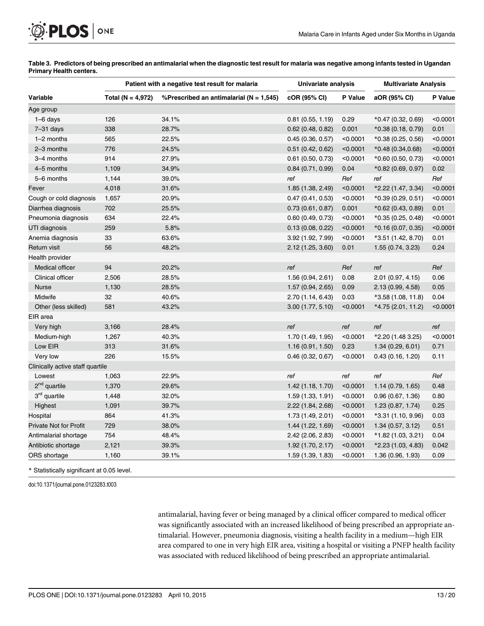<span id="page-12-0"></span>

[Table 3.](#page-10-0) Predictors of being prescribed an antimalarial when the diagnostic test result for malaria was negative among infants tested in Ugandan Primary Health centers.

|                                  | Patient with a negative test result for malaria |                                         | Univariate analysis |          | <b>Multivariate Analysis</b> |          |
|----------------------------------|-------------------------------------------------|-----------------------------------------|---------------------|----------|------------------------------|----------|
| Variable                         | Total ( $N = 4,972$ )                           | %Prescribed an antimalarial (N = 1,545) | cOR (95% CI)        | P Value  | aOR (95% CI)                 | P Value  |
| Age group                        |                                                 |                                         |                     |          |                              |          |
| $1-6$ days                       | 126                                             | 34.1%                                   | $0.81$ (0.55, 1.19) | 0.29     | *0.47 (0.32, 0.69)           | < 0.0001 |
| $7-31$ days                      | 338                                             | 28.7%                                   | $0.62$ (0.48, 0.82) | 0.001    | $*0.38(0.18, 0.79)$          | 0.01     |
| $1-2$ months                     | 565                                             | 22.5%                                   | 0.45(0.36, 0.57)    | < 0.0001 | *0.38 (0.25, 0.56)           | < 0.0001 |
| 2-3 months                       | 776                                             | 24.5%                                   | 0.51(0.42, 0.62)    | < 0.0001 | $*0.48(0.34, 0.68)$          | < 0.0001 |
| 3-4 months                       | 914                                             | 27.9%                                   | $0.61$ (0.50, 0.73) | < 0.0001 | *0.60 (0.50, 0.73)           | < 0.0001 |
| 4-5 months                       | 1,109                                           | 34.9%                                   | 0.84(0.71, 0.99)    | 0.04     | *0.82 (0.69, 0.97)           | 0.02     |
| 5-6 months                       | 1,144                                           | 39.0%                                   | ref                 | Ref      | ref                          | Ref      |
| Fever                            | 4,018                                           | 31.6%                                   | 1.85 (1.38, 2.49)   | < 0.0001 | *2.22 (1.47, 3.34)           | < 0.0001 |
| Cough or cold diagnosis          | 1,657                                           | 20.9%                                   | 0.47(0.41, 0.53)    | < 0.0001 | $*0.39(0.29, 0.51)$          | < 0.0001 |
| Diarrhea diagnosis               | 702                                             | 25.5%                                   | 0.73(0.61, 0.87)    | 0.001    | $*0.62$ (0.43, 0.89)         | 0.01     |
| Pneumonia diagnosis              | 634                                             | 22.4%                                   | 0.60(0.49, 0.73)    | < 0.0001 | *0.35 (0.25, 0.48)           | < 0.0001 |
| UTI diagnosis                    | 259                                             | 5.8%                                    | 0.13(0.08, 0.22)    | < 0.0001 | $*0.16(0.07, 0.35)$          | < 0.0001 |
| Anemia diagnosis                 | 33                                              | 63.6%                                   | 3.92 (1.92, 7.99)   | < 0.0001 | *3.51 (1.42, 8.70)           | 0.01     |
| Return visit                     | 56                                              | 48.2%                                   | 2.12 (1.25, 3.60)   | 0.01     | 1.55 (0.74, 3.23)            | 0.24     |
| Health provider                  |                                                 |                                         |                     |          |                              |          |
| Medical officer                  | 94                                              | 20.2%                                   | ref                 | Ref      | ref                          | Ref      |
| Clinical officer                 | 2,506                                           | 28.5%                                   | 1.56 (0.94, 2.61)   | 0.08     | 2.01 (0.97, 4.15)            | 0.06     |
| <b>Nurse</b>                     | 1,130                                           | 28.5%                                   | 1.57 (0.94, 2.65)   | 0.09     | 2.13 (0.99, 4.58)            | 0.05     |
| Midwife                          | 32                                              | 40.6%                                   | 2.70 (1.14, 6.43)   | 0.03     | *3.58 (1.08, 11.8)           | 0.04     |
| Other (less skilled)             | 581                                             | 43.2%                                   | 3.00(1.77, 5.10)    | < 0.0001 | *4.75 (2.01, 11.2)           | < 0.0001 |
| EIR area                         |                                                 |                                         |                     |          |                              |          |
| Very high                        | 3,166                                           | 28.4%                                   | ref                 | ref      | ref                          | ref      |
| Medium-high                      | 1,267                                           | 40.3%                                   | 1.70 (1.49, 1.95)   | < 0.0001 | *2.20 (1.48 3.25)            | < 0.0001 |
| Low EIR                          | 313                                             | 31.6%                                   | 1.16(0.91, 1.50)    | 0.23     | 1.34(0.29, 6.01)             | 0.71     |
| Very low                         | 226                                             | 15.5%                                   | 0.46(0.32, 0.67)    | < 0.0001 | 0.43(0.16, 1.20)             | 0.11     |
| Clinically active staff quartile |                                                 |                                         |                     |          |                              |          |
| Lowest                           | 1,063                                           | 22.9%                                   | ref                 | ref      | ref                          | Ref      |
| $2nd$ quartile                   | 1,370                                           | 29.6%                                   | 1.42(1.18, 1.70)    | < 0.0001 | 1.14(0.79, 1.65)             | 0.48     |
| 3 <sup>rd</sup> quartile         | 1,448                                           | 32.0%                                   | 1.59 (1.33, 1.91)   | < 0.0001 | 0.96(0.67, 1.36)             | 0.80     |
| Highest                          | 1,091                                           | 39.7%                                   | 2.22 (1.84, 2.68)   | < 0.0001 | 1.23 (0.87, 1.74)            | 0.25     |
| Hospital                         | 864                                             | 41.3%                                   | 1.73 (1.49, 2.01)   | < 0.0001 | *3.31 (1.10, 9.96)           | 0.03     |
| <b>Private Not for Profit</b>    | 729                                             | 38.0%                                   | 1.44 (1.22, 1.69)   | < 0.0001 | 1.34(0.57, 3.12)             | 0.51     |
| Antimalarial shortage            | 754                                             | 48.4%                                   | $2.42$ (2.06, 2.83) | < 0.0001 | *1.82 (1.03, 3.21)           | 0.04     |
| Antibiotic shortage              | 2,121                                           | 39.3%                                   | 1.92 (1.70, 2.17)   | < 0.0001 | *2.23 (1.03, 4.83)           | 0.042    |
| ORS shortage                     | 1,160                                           | 39.1%                                   | 1.59 (1.39, 1.83)   | < 0.0001 | 1.36 (0.96, 1.93)            | 0.09     |

\* Statistically significant at 0.05 level.

doi:10.1371/journal.pone.0123283.t003

antimalarial, having fever or being managed by a clinical officer compared to medical officer was significantly associated with an increased likelihood of being prescribed an appropriate antimalarial. However, pneumonia diagnosis, visiting a health facility in a medium—high EIR area compared to one in very high EIR area, visiting a hospital or visiting a PNFP health facility was associated with reduced likelihood of being prescribed an appropriate antimalarial.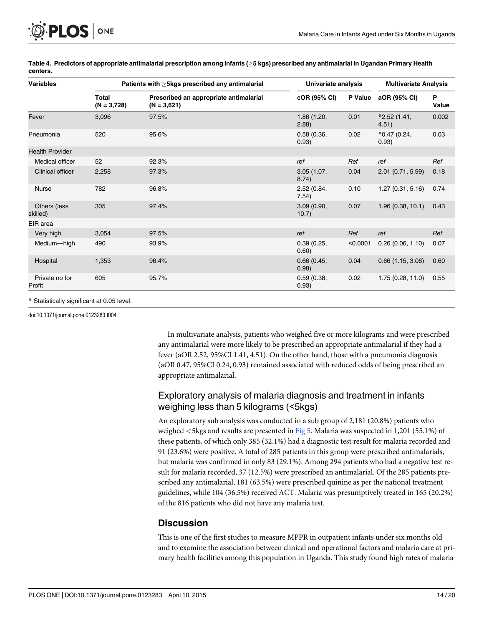| <b>Variables</b>         | Patients with $\geq$ 5kgs prescribed any antimalarial |                                                         | Univariate analysis  |          | <b>Multivariate Analysis</b> |            |
|--------------------------|-------------------------------------------------------|---------------------------------------------------------|----------------------|----------|------------------------------|------------|
|                          | <b>Total</b><br>$(N = 3,728)$                         | Prescribed an appropriate antimalarial<br>$(N = 3,621)$ | cOR (95% CI)         | P Value  | aOR (95% CI)                 | P<br>Value |
| Fever                    | 3,096                                                 | 97.5%                                                   | 1.86(1.20,<br>(2.88) | 0.01     | $*2.52(1.41,$<br>4.51)       | 0.002      |
| Pneumonia                | 520                                                   | 95.6%                                                   | 0.58(0.36,<br>0.93)  | 0.02     | $*0.47(0.24,$<br>0.93)       | 0.03       |
| <b>Health Provider</b>   |                                                       |                                                         |                      |          |                              |            |
| <b>Medical officer</b>   | 52                                                    | 92.3%                                                   | ref                  | Ref      | ref                          | Ref        |
| <b>Clinical officer</b>  | 2,258                                                 | 97.3%                                                   | 3.05(1.07,<br>8.74)  | 0.04     | 2.01(0.71, 5.99)             | 0.18       |
| <b>Nurse</b>             | 782                                                   | 96.8%                                                   | 2.52(0.84,<br>7.54)  | 0.10     | 1.27(0.31, 5.16)             | 0.74       |
| Others (less<br>skilled) | 305                                                   | 97.4%                                                   | 3.09(0.90,<br>10.7)  | 0.07     | 1.96(0.38, 10.1)             | 0.43       |
| EIR area                 |                                                       |                                                         |                      |          |                              |            |
| Very high                | 3,054                                                 | 97.5%                                                   | ref                  | Ref      | ref                          | Ref        |
| Medium-high              | 490                                                   | 93.9%                                                   | 0.39(0.25,<br>0.60)  | < 0.0001 | 0.26(0.06, 1.10)             | 0.07       |
| Hospital                 | 1,353                                                 | 96.4%                                                   | 0.66(0.45,<br>0.98)  | 0.04     | 0.66(1.15, 3.06)             | 0.60       |
| Private no for<br>Profit | 605                                                   | 95.7%                                                   | 0.59(0.38,<br>0.93)  | 0.02     | 1.75(0.28, 11.0)             | 0.55       |

[Table 4.](#page-11-0) Predictors of appropriate antimalarial prescription among infants ( $\geq$ 5 kgs) prescribed any antimalarial in Ugandan Primary Health centers.

\* Statistically significant at 0.05 level.

ONE

<span id="page-13-0"></span>**PLOS I** 

doi:10.1371/journal.pone.0123283.t004

In multivariate analysis, patients who weighed five or more kilograms and were prescribed any antimalarial were more likely to be prescribed an appropriate antimalarial if they had a fever (aOR 2.52, 95%CI 1.41, 4.51). On the other hand, those with a pneumonia diagnosis (aOR 0.47, 95%CI 0.24, 0.93) remained associated with reduced odds of being prescribed an appropriate antimalarial.

#### Exploratory analysis of malaria diagnosis and treatment in infants weighing less than 5 kilograms (<5kgs)

An exploratory sub analysis was conducted in a sub group of 2,181 (20.8%) patients who weighed <5kgs and results are presented in [Fig 5](#page-14-0). Malaria was suspected in 1,201 (55.1%) of these patients, of which only 385 (32.1%) had a diagnostic test result for malaria recorded and 91 (23.6%) were positive. A total of 285 patients in this group were prescribed antimalarials, but malaria was confirmed in only 83 (29.1%). Among 294 patients who had a negative test result for malaria recorded, 37 (12.5%) were prescribed an antimalarial. Of the 285 patients prescribed any antimalarial, 181 (63.5%) were prescribed quinine as per the national treatment guidelines, while 104 (36.5%) received ACT. Malaria was presumptively treated in 165 (20.2%) of the 816 patients who did not have any malaria test.

#### **Discussion**

This is one of the first studies to measure MPPR in outpatient infants under six months old and to examine the association between clinical and operational factors and malaria care at primary health facilities among this population in Uganda. This study found high rates of malaria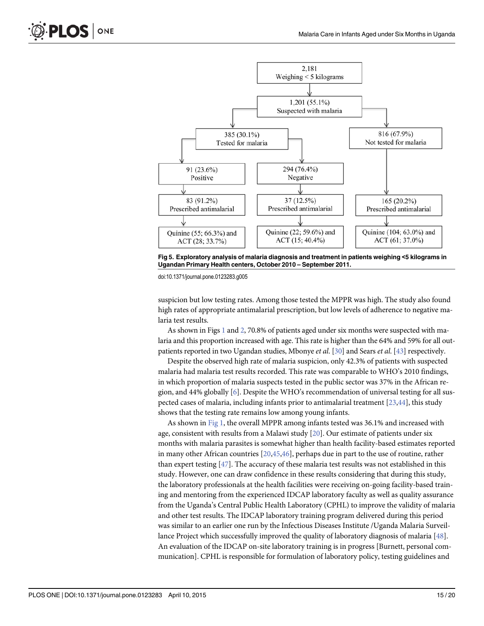<span id="page-14-0"></span>



[Fig 5. E](#page-13-0)xploratory analysis of malaria diagnosis and treatment in patients weighing <5 kilograms in Ugandan Primary Health centers, October 2010 – September 2011.

doi:10.1371/journal.pone.0123283.g005

suspicion but low testing rates. Among those tested the MPPR was high. The study also found high rates of appropriate antimalarial prescription, but low levels of adherence to negative malaria test results.

As shown in Figs  $1$  and  $2$ , 70.8% of patients aged under six months were suspected with malaria and this proportion increased with age. This rate is higher than the 64% and 59% for all out-patients reported in two Ugandan studies, Mbonye et al. [\[30\]](#page-18-0) and Sears et al. [\[43\]](#page-18-0) respectively.

Despite the observed high rate of malaria suspicion, only 42.3% of patients with suspected malaria had malaria test results recorded. This rate was comparable to WHO's 2010 findings, in which proportion of malaria suspects tested in the public sector was 37% in the African region, and 44% globally [[6\]](#page-17-0). Despite the WHO's recommendation of universal testing for all suspected cases of malaria, including infants prior to antimalarial treatment [[23](#page-17-0),[44](#page-18-0)], this study shows that the testing rate remains low among young infants.

As shown in [Fig 1,](#page-7-0) the overall MPPR among infants tested was 36.1% and increased with age, consistent with results from a Malawi study  $[20]$ . Our estimate of patients under six months with malaria parasites is somewhat higher than health facility-based estimates reported in many other African countries [\[20,](#page-17-0)[45](#page-18-0),[46](#page-18-0)], perhaps due in part to the use of routine, rather than expert testing [[47](#page-18-0)]. The accuracy of these malaria test results was not established in this study. However, one can draw confidence in these results considering that during this study, the laboratory professionals at the health facilities were receiving on-going facility-based training and mentoring from the experienced IDCAP laboratory faculty as well as quality assurance from the Uganda's Central Public Health Laboratory (CPHL) to improve the validity of malaria and other test results. The IDCAP laboratory training program delivered during this period was similar to an earlier one run by the Infectious Diseases Institute /Uganda Malaria Surveillance Project which successfully improved the quality of laboratory diagnosis of malaria [[48](#page-18-0)]. An evaluation of the IDCAP on-site laboratory training is in progress [Burnett, personal communication]. CPHL is responsible for formulation of laboratory policy, testing guidelines and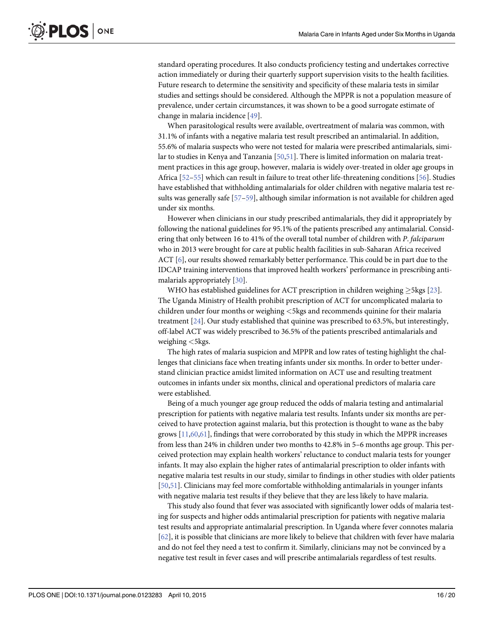<span id="page-15-0"></span>standard operating procedures. It also conducts proficiency testing and undertakes corrective action immediately or during their quarterly support supervision visits to the health facilities. Future research to determine the sensitivity and specificity of these malaria tests in similar studies and settings should be considered. Although the MPPR is not a population measure of prevalence, under certain circumstances, it was shown to be a good surrogate estimate of change in malaria incidence [\[49\]](#page-19-0).

When parasitological results were available, overtreatment of malaria was common, with 31.1% of infants with a negative malaria test result prescribed an antimalarial. In addition, 55.6% of malaria suspects who were not tested for malaria were prescribed antimalarials, similar to studies in Kenya and Tanzania [\[50,51\]](#page-19-0). There is limited information on malaria treatment practices in this age group, however, malaria is widely over-treated in older age groups in Africa [\[52](#page-19-0)–[55](#page-19-0)] which can result in failure to treat other life-threatening conditions [\[56\]](#page-19-0). Studies have established that withholding antimalarials for older children with negative malaria test results was generally safe [\[57](#page-19-0)–[59](#page-19-0)], although similar information is not available for children aged under six months.

However when clinicians in our study prescribed antimalarials, they did it appropriately by following the national guidelines for 95.1% of the patients prescribed any antimalarial. Considering that only between 16 to 41% of the overall total number of children with P. falciparum who in 2013 were brought for care at public health facilities in sub-Saharan Africa received ACT [\[6](#page-17-0)], our results showed remarkably better performance. This could be in part due to the IDCAP training interventions that improved health workers' performance in prescribing antimalarials appropriately [[30](#page-18-0)].

WHO has established guidelines for ACT prescription in children weighing  $\geq$ 5kgs [[23](#page-17-0)]. The Uganda Ministry of Health prohibit prescription of ACT for uncomplicated malaria to children under four months or weighing <5kgs and recommends quinine for their malaria treatment [[24](#page-17-0)]. Our study established that quinine was prescribed to 63.5%, but interestingly, off-label ACT was widely prescribed to 36.5% of the patients prescribed antimalarials and weighing  $\lt$ 5 kgs.

The high rates of malaria suspicion and MPPR and low rates of testing highlight the challenges that clinicians face when treating infants under six months. In order to better understand clinician practice amidst limited information on ACT use and resulting treatment outcomes in infants under six months, clinical and operational predictors of malaria care were established.

Being of a much younger age group reduced the odds of malaria testing and antimalarial prescription for patients with negative malaria test results. Infants under six months are perceived to have protection against malaria, but this protection is thought to wane as the baby grows [\[11,](#page-17-0)[60,61](#page-19-0)], findings that were corroborated by this study in which the MPPR increases from less than 24% in children under two months to 42.8% in 5–6 months age group. This perceived protection may explain health workers' reluctance to conduct malaria tests for younger infants. It may also explain the higher rates of antimalarial prescription to older infants with negative malaria test results in our study, similar to findings in other studies with older patients [\[50,51\]](#page-19-0). Clinicians may feel more comfortable withholding antimalarials in younger infants with negative malaria test results if they believe that they are less likely to have malaria.

This study also found that fever was associated with significantly lower odds of malaria testing for suspects and higher odds antimalarial prescription for patients with negative malaria test results and appropriate antimalarial prescription. In Uganda where fever connotes malaria [\[62](#page-19-0)], it is possible that clinicians are more likely to believe that children with fever have malaria and do not feel they need a test to confirm it. Similarly, clinicians may not be convinced by a negative test result in fever cases and will prescribe antimalarials regardless of test results.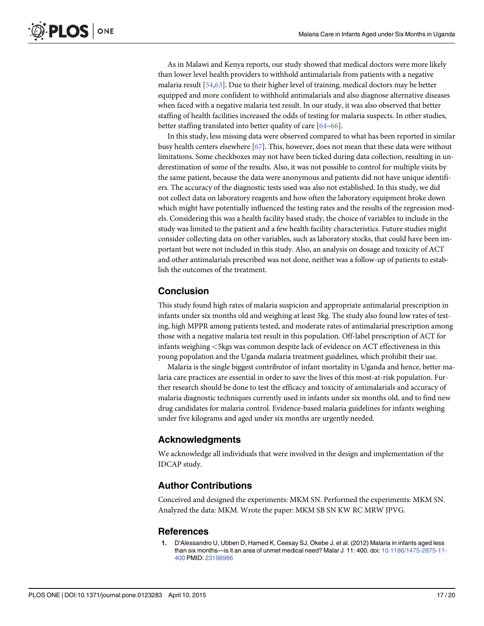<span id="page-16-0"></span>**PLOS I** ONE

> As in Malawi and Kenya reports, our study showed that medical doctors were more likely than lower level health providers to withhold antimalarials from patients with a negative malaria result [\[54,63](#page-19-0)]. Due to their higher level of training, medical doctors may be better equipped and more confident to withhold antimalarials and also diagnose alternative diseases when faced with a negative malaria test result. In our study, it was also observed that better staffing of health facilities increased the odds of testing for malaria suspects. In other studies, better staffing translated into better quality of care [[64](#page-19-0)-[66](#page-19-0)].

In this study, less missing data were observed compared to what has been reported in similar busy health centers elsewhere [\[67\]](#page-19-0). This, however, does not mean that these data were without limitations. Some checkboxes may not have been ticked during data collection, resulting in underestimation of some of the results. Also, it was not possible to control for multiple visits by the same patient, because the data were anonymous and patients did not have unique identifiers. The accuracy of the diagnostic tests used was also not established. In this study, we did not collect data on laboratory reagents and how often the laboratory equipment broke down which might have potentially influenced the testing rates and the results of the regression models. Considering this was a health facility based study, the choice of variables to include in the study was limited to the patient and a few health facility characteristics. Future studies might consider collecting data on other variables, such as laboratory stocks, that could have been important but were not included in this study. Also, an analysis on dosage and toxicity of ACT and other antimalarials prescribed was not done, neither was a follow-up of patients to establish the outcomes of the treatment.

#### Conclusion

This study found high rates of malaria suspicion and appropriate antimalarial prescription in infants under six months old and weighing at least 5kg. The study also found low rates of testing, high MPPR among patients tested, and moderate rates of antimalarial prescription among those with a negative malaria test result in this population. Off-label prescription of ACT for infants weighing <5kgs was common despite lack of evidence on ACT effectiveness in this young population and the Uganda malaria treatment guidelines, which prohibit their use.

Malaria is the single biggest contributor of infant mortality in Uganda and hence, better malaria care practices are essential in order to save the lives of this most-at-risk population. Further research should be done to test the efficacy and toxicity of antimalarials and accuracy of malaria diagnostic techniques currently used in infants under six months old, and to find new drug candidates for malaria control. Evidence-based malaria guidelines for infants weighing under five kilograms and aged under six months are urgently needed.

#### Acknowledgments

We acknowledge all individuals that were involved in the design and implementation of the IDCAP study.

#### Author Contributions

Conceived and designed the experiments: MKM SN. Performed the experiments: MKM SN. Analyzed the data: MKM. Wrote the paper: MKM SB SN KW RC MRW JPVG.

#### References

[1.](#page-1-0) D'Alessandro U, Ubben D, Hamed K, Ceesay SJ, Okebe J, et al. (2012) Malaria in infants aged less than six months—is it an area of unmet medical need? Malar J 11: 400. doi: [10.1186/1475-2875-11-](http://dx.doi.org/10.1186/1475-2875-11-400) [400](http://dx.doi.org/10.1186/1475-2875-11-400) PMID: [23198986](http://www.ncbi.nlm.nih.gov/pubmed/23198986)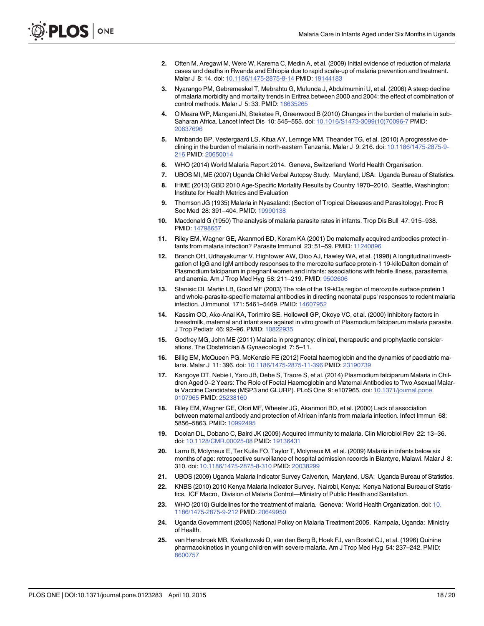- <span id="page-17-0"></span>[2.](#page-1-0) Otten M, Aregawi M, Were W, Karema C, Medin A, et al. (2009) Initial evidence of reduction of malaria cases and deaths in Rwanda and Ethiopia due to rapid scale-up of malaria prevention and treatment. Malar J 8: 14. doi: [10.1186/1475-2875-8-14](http://dx.doi.org/10.1186/1475-2875-8-14) PMID: [19144183](http://www.ncbi.nlm.nih.gov/pubmed/19144183)
- 3. Nyarango PM, Gebremeskel T, Mebrahtu G, Mufunda J, Abdulmumini U, et al. (2006) A steep decline of malaria morbidity and mortality trends in Eritrea between 2000 and 2004: the effect of combination of control methods. Malar J 5: 33. PMID: [16635265](http://www.ncbi.nlm.nih.gov/pubmed/16635265)
- 4. O'Meara WP, Mangeni JN, Steketee R, Greenwood B (2010) Changes in the burden of malaria in sub-Saharan Africa. Lancet Infect Dis 10: 545–555. doi: [10.1016/S1473-3099\(10\)70096-7](http://dx.doi.org/10.1016/S1473-3099(10)70096-7) PMID: [20637696](http://www.ncbi.nlm.nih.gov/pubmed/20637696)
- [5.](#page-1-0) Mmbando BP, Vestergaard LS, Kitua AY, Lemnge MM, Theander TG, et al. (2010) A progressive declining in the burden of malaria in north-eastern Tanzania. Malar J 9: 216. doi: [10.1186/1475-2875-9-](http://dx.doi.org/10.1186/1475-2875-9-216) [216](http://dx.doi.org/10.1186/1475-2875-9-216) PMID: [20650014](http://www.ncbi.nlm.nih.gov/pubmed/20650014)
- [6.](#page-1-0) WHO (2014) World Malaria Report 2014. Geneva, Switzerland World Health Organisation.
- [7.](#page-1-0) UBOS MI, ME (2007) Uganda Child Verbal Autopsy Study. Maryland, USA: Uganda Bureau of Statistics.
- [8.](#page-1-0) IHME (2013) GBD 2010 Age-Specific Mortality Results by Country 1970–2010. Seattle, Washington: Institute for Health Metrics and Evaluation
- [9.](#page-1-0) Thomson JG (1935) Malaria in Nyasaland: (Section of Tropical Diseases and Parasitology). Proc R Soc Med 28: 391–404. PMID: [19990138](http://www.ncbi.nlm.nih.gov/pubmed/19990138)
- [10.](#page-1-0) Macdonald G (1950) The analysis of malaria parasite rates in infants. Trop Dis Bull 47: 915–938. PMID: [14798657](http://www.ncbi.nlm.nih.gov/pubmed/14798657)
- [11.](#page-1-0) Riley EM, Wagner GE, Akanmori BD, Koram KA (2001) Do maternally acquired antibodies protect infants from malaria infection? Parasite Immunol 23: 51–59. PMID: [11240896](http://www.ncbi.nlm.nih.gov/pubmed/11240896)
- [12.](#page-1-0) Branch OH, Udhayakumar V, Hightower AW, Oloo AJ, Hawley WA, et al. (1998) A longitudinal investigation of IgG and IgM antibody responses to the merozoite surface protein-1 19-kiloDalton domain of Plasmodium falciparum in pregnant women and infants: associations with febrile illness, parasitemia, and anemia. Am J Trop Med Hyg 58: 211–219. PMID: [9502606](http://www.ncbi.nlm.nih.gov/pubmed/9502606)
- [13.](#page-1-0) Stanisic DI, Martin LB, Good MF (2003) The role of the 19-kDa region of merozoite surface protein 1 and whole-parasite-specific maternal antibodies in directing neonatal pups' responses to rodent malaria infection. J Immunol 171: 5461–5469. PMID: [14607952](http://www.ncbi.nlm.nih.gov/pubmed/14607952)
- [14.](#page-1-0) Kassim OO, Ako-Anai KA, Torimiro SE, Hollowell GP, Okoye VC, et al. (2000) Inhibitory factors in breastmilk, maternal and infant sera against in vitro growth of Plasmodium falciparum malaria parasite. J Trop Pediatr 46: 92–96. PMID: [10822935](http://www.ncbi.nlm.nih.gov/pubmed/10822935)
- [15.](#page-1-0) Godfrey MG, John ME (2011) Malaria in pregnancy: clinical, therapeutic and prophylactic considerations. The Obstetrician & Gynaecologist 7: 5–11.
- 16. Billig EM, McQueen PG, McKenzie FE (2012) Foetal haemoglobin and the dynamics of paediatric malaria. Malar J 11: 396. doi: [10.1186/1475-2875-11-396](http://dx.doi.org/10.1186/1475-2875-11-396) PMID: [23190739](http://www.ncbi.nlm.nih.gov/pubmed/23190739)
- [17.](#page-1-0) Kangoye DT, Nebie I, Yaro JB, Debe S, Traore S, et al. (2014) Plasmodium falciparum Malaria in Children Aged 0–2 Years: The Role of Foetal Haemoglobin and Maternal Antibodies to Two Asexual Malaria Vaccine Candidates (MSP3 and GLURP). PLoS One 9: e107965. doi: [10.1371/journal.pone.](http://dx.doi.org/10.1371/journal.pone.0107965) [0107965](http://dx.doi.org/10.1371/journal.pone.0107965) PMID: [25238160](http://www.ncbi.nlm.nih.gov/pubmed/25238160)
- [18.](#page-1-0) Riley EM, Wagner GE, Ofori MF, Wheeler JG, Akanmori BD, et al. (2000) Lack of association between maternal antibody and protection of African infants from malaria infection. Infect Immun 68: 5856–5863. PMID: [10992495](http://www.ncbi.nlm.nih.gov/pubmed/10992495)
- [19.](#page-1-0) Doolan DL, Dobano C, Baird JK (2009) Acquired immunity to malaria. Clin Microbiol Rev 22: 13–36. doi: [10.1128/CMR.00025-08](http://dx.doi.org/10.1128/CMR.00025-08) PMID: [19136431](http://www.ncbi.nlm.nih.gov/pubmed/19136431)
- [20.](#page-1-0) Larru B, Molyneux E, Ter Kuile FO, Taylor T, Molyneux M, et al. (2009) Malaria in infants below six months of age: retrospective surveillance of hospital admission records in Blantyre, Malawi. Malar J 8: 310. doi: [10.1186/1475-2875-8-310](http://dx.doi.org/10.1186/1475-2875-8-310) PMID: [20038299](http://www.ncbi.nlm.nih.gov/pubmed/20038299)
- [21.](#page-1-0) UBOS (2009) Uganda Malaria Indicator Survey Calverton, Maryland, USA: Uganda Bureau of Statistics.
- [22.](#page-1-0) KNBS (2010) 2010 Kenya Malaria Indicator Survey. Nairobi, Kenya: Kenya National Bureau of Statistics, ICF Macro, Division of Malaria Control—Ministry of Public Health and Sanitation.
- [23.](#page-1-0) WHO (2010) Guidelines for the treatment of malaria. Geneva: World Health Organization. doi: [10.](http://dx.doi.org/10.1186/1475-2875-9-212) [1186/1475-2875-9-212](http://dx.doi.org/10.1186/1475-2875-9-212) PMID: [20649950](http://www.ncbi.nlm.nih.gov/pubmed/20649950)
- [24.](#page-2-0) Uganda Government (2005) National Policy on Malaria Treatment 2005. Kampala, Uganda: Ministry of Health.
- [25.](#page-2-0) van Hensbroek MB, Kwiatkowski D, van den Berg B, Hoek FJ, van Boxtel CJ, et al. (1996) Quinine pharmacokinetics in young children with severe malaria. Am J Trop Med Hyg 54: 237–242. PMID: [8600757](http://www.ncbi.nlm.nih.gov/pubmed/8600757)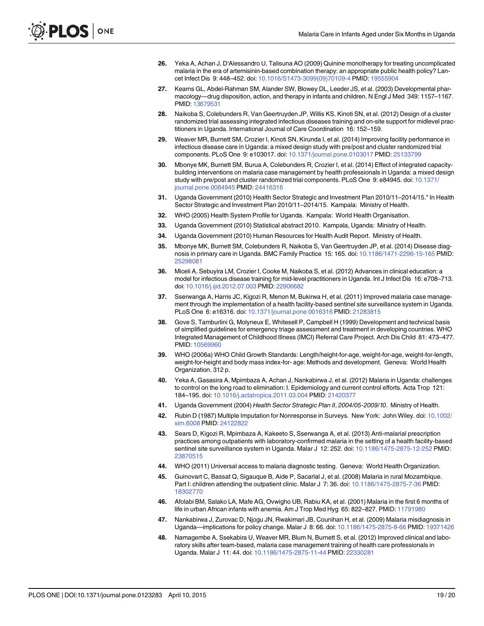- <span id="page-18-0"></span>[26.](#page-2-0) Yeka A, Achan J, D'Alessandro U, Talisuna AO (2009) Quinine monotherapy for treating uncomplicated malaria in the era of artemisinin-based combination therapy: an appropriate public health policy? Lancet Infect Dis 9: 448–452. doi: [10.1016/S1473-3099\(09\)70109-4](http://dx.doi.org/10.1016/S1473-3099(09)70109-4) PMID: [19555904](http://www.ncbi.nlm.nih.gov/pubmed/19555904)
- [27.](#page-2-0) Kearns GL, Abdel-Rahman SM, Alander SW, Blowey DL, Leeder JS, et al. (2003) Developmental pharmacology—drug disposition, action, and therapy in infants and children. N Engl J Med 349: 1157–1167. PMID: [13679531](http://www.ncbi.nlm.nih.gov/pubmed/13679531)
- [28.](#page-2-0) Naikoba S, Colebunders R, Van Geertruyden JP, Willis KS, Kinoti SN, et al. (2012) Design of a cluster randomized trial assessing integrated infectious diseases training and on-site support for midlevel practitioners in Uganda. International Journal of Care Coordination 16: 152–159.
- 29. Weaver MR, Burnett SM, Crozier I, Kinoti SN, Kirunda I, et al. (2014) Improving facility performance in infectious disease care in Uganda: a mixed design study with pre/post and cluster randomized trial components. PLoS One 9: e103017. doi: [10.1371/journal.pone.0103017](http://dx.doi.org/10.1371/journal.pone.0103017) PMID: [25133799](http://www.ncbi.nlm.nih.gov/pubmed/25133799)
- [30.](#page-2-0) Mbonye MK, Burnett SM, Burua A, Colebunders R, Crozier I, et al. (2014) Effect of integrated capacitybuilding interventions on malaria case management by health professionals in Uganda: a mixed design study with pre/post and cluster randomized trial components. PLoS One 9: e84945. doi: [10.1371/](http://dx.doi.org/10.1371/journal.pone.0084945) [journal.pone.0084945](http://dx.doi.org/10.1371/journal.pone.0084945) PMID: [24416316](http://www.ncbi.nlm.nih.gov/pubmed/24416316)
- [31.](#page-2-0) Uganda Government (2010) Health Sector Strategic and Investment Plan 2010/11–2014/15." In Health Sector Strategic and Investment Plan 2010/11–2014/15. Kampala: Ministry of Health.
- [32.](#page-2-0) WHO (2005) Health System Profile for Uganda. Kampala: World Health Organisation.
- [33.](#page-2-0) Uganda Government (2010) Statistical abstract 2010. Kampala, Uganda: Ministry of Health.
- [34.](#page-2-0) Uganda Government (2010) Human Resources for Health Audit Report. Ministry of Health.
- [35.](#page-2-0) Mbonye MK, Burnett SM, Colebunders R, Naikoba S, Van Geertruyden JP, et al. (2014) Disease diagnosis in primary care in Uganda. BMC Family Practice 15: 165. doi: [10.1186/1471-2296-15-165](http://dx.doi.org/10.1186/1471-2296-15-165) PMID: [25298081](http://www.ncbi.nlm.nih.gov/pubmed/25298081)
- [36.](#page-2-0) Miceli A, Sebuyira LM, Crozier I, Cooke M, Naikoba S, et al. (2012) Advances in clinical education: a model for infectious disease training for mid-level practitioners in Uganda. Int J Infect Dis 16: e708–713. doi: [10.1016/j.ijid.2012.07.003](http://dx.doi.org/10.1016/j.ijid.2012.07.003) PMID: [22906682](http://www.ncbi.nlm.nih.gov/pubmed/22906682)
- [37.](#page-3-0) Sserwanga A, Harris JC, Kigozi R, Menon M, Bukirwa H, et al. (2011) Improved malaria case management through the implementation of a health facility-based sentinel site surveillance system in Uganda. PLoS One 6: e16316. doi: [10.1371/journal.pone.0016316](http://dx.doi.org/10.1371/journal.pone.0016316) PMID: [21283815](http://www.ncbi.nlm.nih.gov/pubmed/21283815)
- [38.](#page-4-0) Gove S, Tamburlini G, Molyneux E, Whitesell P, Campbell H (1999) Development and technical basis of simplified guidelines for emergency triage assessment and treatment in developing countries. WHO Integrated Management of Childhood Illness (IMCI) Referral Care Project. Arch Dis Child 81: 473–477. PMID: [10569960](http://www.ncbi.nlm.nih.gov/pubmed/10569960)
- [39.](#page-4-0) WHO (2006a) WHO Child Growth Standards: Length/height-for-age, weight-for-age, weight-for-length, weight-for-height and body mass index-for- age: Methods and development. Geneva: World Health Organization. 312 p.
- [40.](#page-4-0) Yeka A, Gasasira A, Mpimbaza A, Achan J, Nankabirwa J, et al. (2012) Malaria in Uganda: challenges to control on the long road to elimination: I. Epidemiology and current control efforts. Acta Trop 121: 184–195. doi: [10.1016/j.actatropica.2011.03.004](http://dx.doi.org/10.1016/j.actatropica.2011.03.004) PMID: [21420377](http://www.ncbi.nlm.nih.gov/pubmed/21420377)
- [41.](#page-4-0) Uganda Government (2004) Health Sector Strategic Plan II, 2004/05-2009/10. Ministry of Health.
- [42.](#page-5-0) Rubin D (1987) Multiple Imputation for Nonresponse in Surveys. New York: John Wiley. doi: [10.1002/](http://dx.doi.org/10.1002/sim.6008) [sim.6008](http://dx.doi.org/10.1002/sim.6008) PMID: [24122822](http://www.ncbi.nlm.nih.gov/pubmed/24122822)
- [43.](#page-14-0) Sears D, Kigozi R, Mpimbaza A, Kakeeto S, Sserwanga A, et al. (2013) Anti-malarial prescription practices among outpatients with laboratory-confirmed malaria in the setting of a health facility-based sentinel site surveillance system in Uganda. Malar J 12: 252. doi: [10.1186/1475-2875-12-252](http://dx.doi.org/10.1186/1475-2875-12-252) PMID: [23870515](http://www.ncbi.nlm.nih.gov/pubmed/23870515)
- [44.](#page-14-0) WHO (2011) Universal access to malaria diagnostic testing. Geneva: World Health Organization.
- [45.](#page-14-0) Guinovart C, Bassat Q, Sigauque B, Aide P, Sacarlal J, et al. (2008) Malaria in rural Mozambique. Part I: children attending the outpatient clinic. Malar J 7: 36. doi: [10.1186/1475-2875-7-36](http://dx.doi.org/10.1186/1475-2875-7-36) PMID: [18302770](http://www.ncbi.nlm.nih.gov/pubmed/18302770)
- [46.](#page-14-0) Afolabi BM, Salako LA, Mafe AG, Ovwigho UB, Rabiu KA, et al. (2001) Malaria in the first 6 months of life in urban African infants with anemia. Am J Trop Med Hyg 65: 822–827. PMID: [11791980](http://www.ncbi.nlm.nih.gov/pubmed/11791980)
- [47.](#page-14-0) Nankabirwa J, Zurovac D, Njogu JN, Rwakimari JB, Counihan H, et al. (2009) Malaria misdiagnosis in Uganda—implications for policy change. Malar J 8: 66. doi: [10.1186/1475-2875-8-66](http://dx.doi.org/10.1186/1475-2875-8-66) PMID: [19371426](http://www.ncbi.nlm.nih.gov/pubmed/19371426)
- [48.](#page-14-0) Namagembe A, Ssekabira U, Weaver MR, Blum N, Burnett S, et al. (2012) Improved clinical and laboratory skills after team-based, malaria case management training of health care professionals in Uganda. Malar J 11: 44. doi: [10.1186/1475-2875-11-44](http://dx.doi.org/10.1186/1475-2875-11-44) PMID: [22330281](http://www.ncbi.nlm.nih.gov/pubmed/22330281)